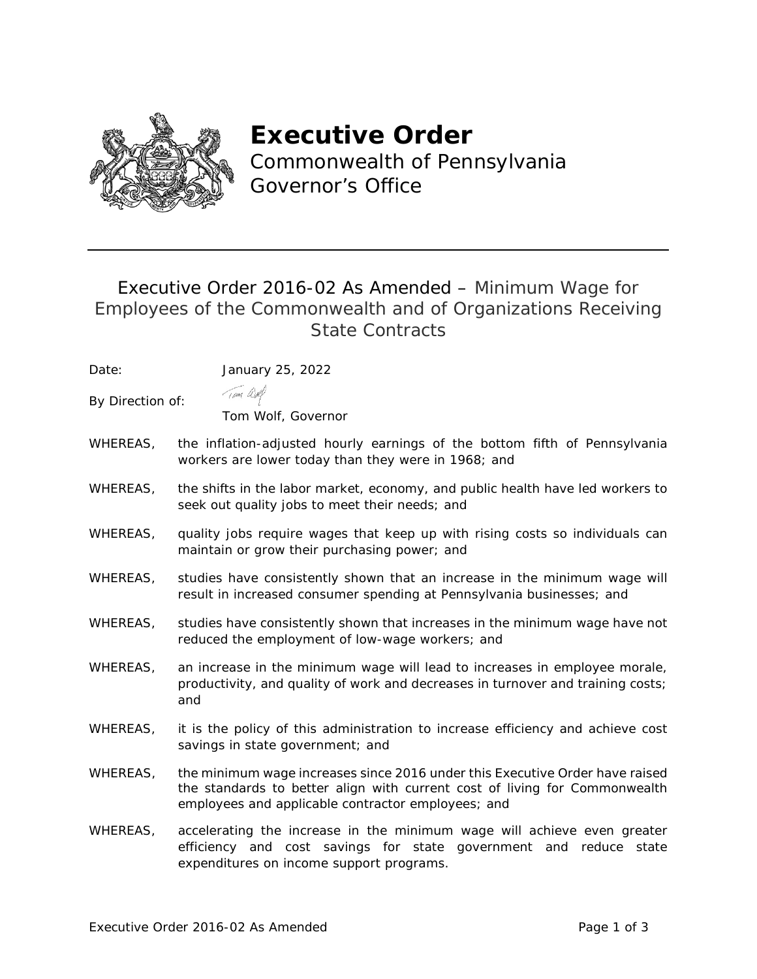

# **Executive Order**

Commonwealth of Pennsylvania Governor's Office

# Executive Order 2016-02 As Amended – Minimum Wage for Employees of the Commonwealth and of Organizations Receiving State Contracts

Date: January 25, 2022

Tom and

By Direction of:

Tom Wolf, Governor

- WHEREAS, the inflation-adjusted hourly earnings of the bottom fifth of Pennsylvania workers are lower today than they were in 1968; and
- WHEREAS, the shifts in the labor market, economy, and public health have led workers to seek out quality jobs to meet their needs; and
- WHEREAS, quality jobs require wages that keep up with rising costs so individuals can maintain or grow their purchasing power; and
- WHEREAS, studies have consistently shown that an increase in the minimum wage will result in increased consumer spending at Pennsylvania businesses; and
- WHEREAS, studies have consistently shown that increases in the minimum wage have not reduced the employment of low-wage workers; and
- WHEREAS, an increase in the minimum wage will lead to increases in employee morale, productivity, and quality of work and decreases in turnover and training costs; and
- WHEREAS, it is the policy of this administration to increase efficiency and achieve cost savings in state government; and
- WHEREAS, the minimum wage increases since 2016 under this Executive Order have raised the standards to better align with current cost of living for Commonwealth employees and applicable contractor employees; and
- WHEREAS, accelerating the increase in the minimum wage will achieve even greater efficiency and cost savings for state government and reduce state expenditures on income support programs.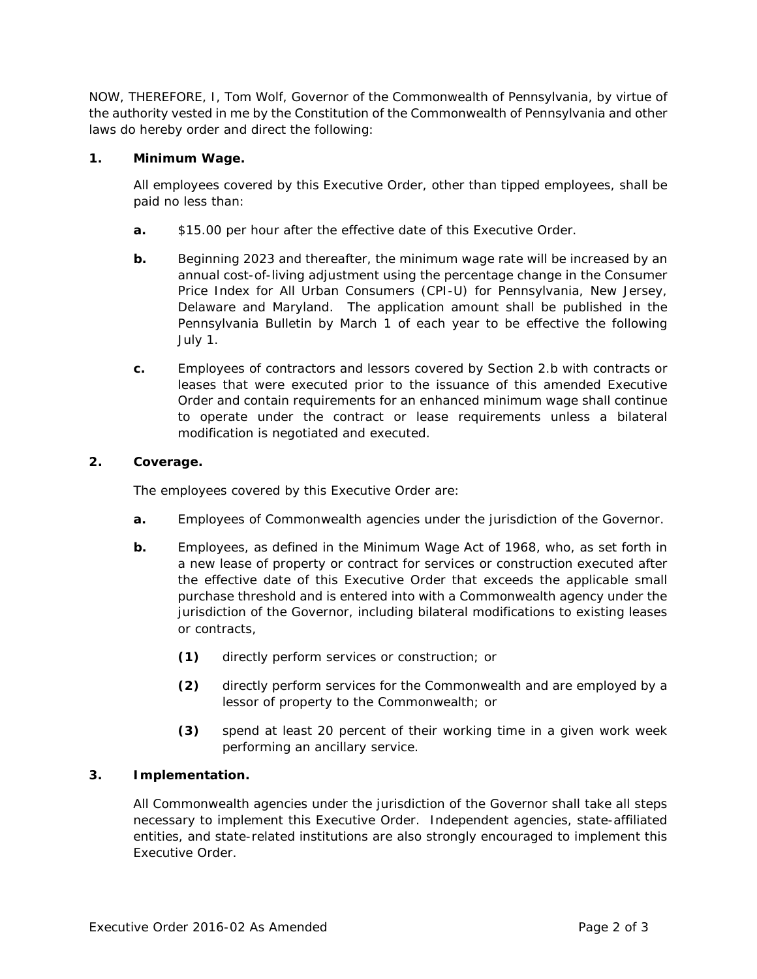NOW, THEREFORE, I, Tom Wolf, Governor of the Commonwealth of Pennsylvania, by virtue of the authority vested in me by the Constitution of the Commonwealth of Pennsylvania and other laws do hereby order and direct the following:

#### **1. Minimum Wage.**

All employees covered by this Executive Order, other than tipped employees, shall be paid no less than:

- **a.** \$15.00 per hour after the effective date of this Executive Order.
- **b.** Beginning 2023 and thereafter, the minimum wage rate will be increased by an annual cost-of-living adjustment using the percentage change in the Consumer Price Index for All Urban Consumers (CPI-U) for Pennsylvania, New Jersey, Delaware and Maryland. The application amount shall be published in the Pennsylvania Bulletin by March 1 of each year to be effective the following July 1.
- **c.** Employees of contractors and lessors covered by Section 2.b with contracts or leases that were executed prior to the issuance of this amended Executive Order and contain requirements for an enhanced minimum wage shall continue to operate under the contract or lease requirements unless a bilateral modification is negotiated and executed.

### **2. Coverage.**

The employees covered by this Executive Order are:

- **a.** Employees of Commonwealth agencies under the jurisdiction of the Governor.
- **b.** Employees, as defined in the *Minimum Wage Act of 1968,* who, as set forth in a new lease of property or contract for services or construction executed after the effective date of this Executive Order that exceeds the applicable small purchase threshold and is entered into with a Commonwealth agency under the jurisdiction of the Governor, including bilateral modifications to existing leases or contracts,
	- **(1)** directly perform services or construction; or
	- **(2)** directly perform services for the Commonwealth and are employed by a lessor of property to the Commonwealth; or
	- **(3)** spend at least 20 percent of their working time in a given work week performing an ancillary service.

## **3. Implementation.**

All Commonwealth agencies under the jurisdiction of the Governor shall take all steps necessary to implement this Executive Order. Independent agencies, state-affiliated entities, and state-related institutions are also strongly encouraged to implement this Executive Order.